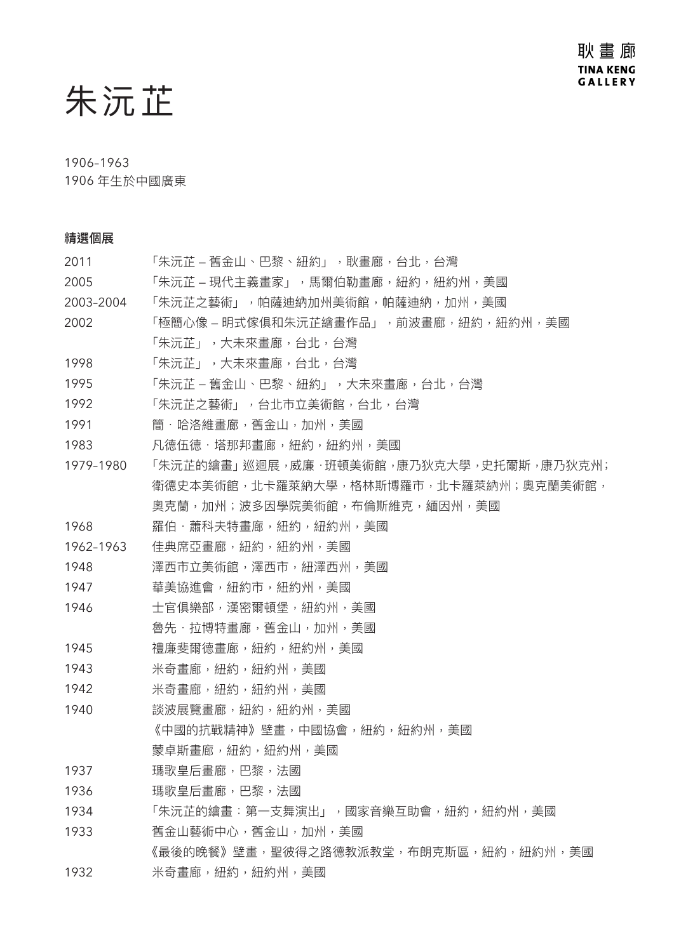# 朱沅芷

### 1906–1963

1906 年生於中國廣東

# 精選個展

| 2011      | 「朱沅芷 – 舊金山、巴黎、紐約」,耿畫廊,台北,台灣             |
|-----------|-----------------------------------------|
| 2005      | 「朱沅芷 – 現代主義畫家」,馬爾伯勒畫廊,紐約,紐約州,美國         |
| 2003-2004 | 「朱沅芷之藝術」,帕薩迪納加州美術館,帕薩迪納,加州,美國           |
| 2002      | 「極簡心像 – 明式傢俱和朱沅芷繪畫作品」,前波畫廊,紐約,紐約州,美國    |
|           | 「朱沅芷」,大未來畫廊,台北,台灣                       |
| 1998      | 「朱沅芷」,大未來畫廊,台北,台灣                       |
| 1995      | 「朱沅芷 – 舊金山、巴黎、紐約」,大未來畫廊,台北,台灣           |
| 1992      | 「朱沅芷之藝術」,台北市立美術館,台北,台灣                  |
| 1991      | 簡‧哈洛維畫廊,舊金山,加州,美國                       |
| 1983      | 凡德伍德‧塔那邦畫廊,紐約,紐約州,美國                    |
| 1979-1980 | 「朱沅芷的繪畫」巡迴展,威廉·班頓美術館,康乃狄克大學,史托爾斯,康乃狄克州; |
|           | 衛德史本美術館,北卡羅萊納大學,格林斯博羅市,北卡羅萊納州;奧克蘭美術館,   |
|           | 奧克蘭,加州;波多因學院美術館,布倫斯維克,緬因州,美國            |
| 1968      | 羅伯·蕭科夫特書廊,紐約,紐約州,美國                     |
| 1962-1963 | 佳典席亞畫廊,紐約,紐約州,美國                        |
| 1948      | 澤西市立美術館,澤西市,紐澤西州,美國                     |
| 1947      | 華美協進會,紐約市,紐約州,美國                        |
| 1946      | 士官俱樂部,漢密爾頓堡,紐約州,美國                      |
|           | 魯先‧拉博特畫廊,舊金山,加州,美國                      |
| 1945      | 禮廉斐爾德畫廊,紐約,紐約州,美國                       |
| 1943      | 米奇畫廊,紐約,紐約州,美國                          |
| 1942      | 米奇畫廊,紐約,紐約州,美國                          |
| 1940      | 談波展覽畫廊,紐約,紐約州,美國                        |
|           | 《中國的抗戰精神》壁畫,中國協會,紐約,紐約州,美國              |
|           | 蒙卓斯畫廊,紐約,紐約州,美國                         |
| 1937      | 瑪歌皇后畫廊,巴黎,法國                            |
| 1936      | 瑪歌皇后畫廊,巴黎,法國                            |
| 1934      | 「朱沅芷的繪畫:第一支舞演出」,國家音樂互助會,紐約,紐約州,美國       |
| 1933      | 舊金山藝術中心,舊金山,加州,美國                       |
|           | 《最後的晚餐》壁畫,聖彼得之路德教派教堂,布朗克斯區,紐約,紐約州,美國    |
| 1932      | 米奇畫廊,紐約,紐約州,美國                          |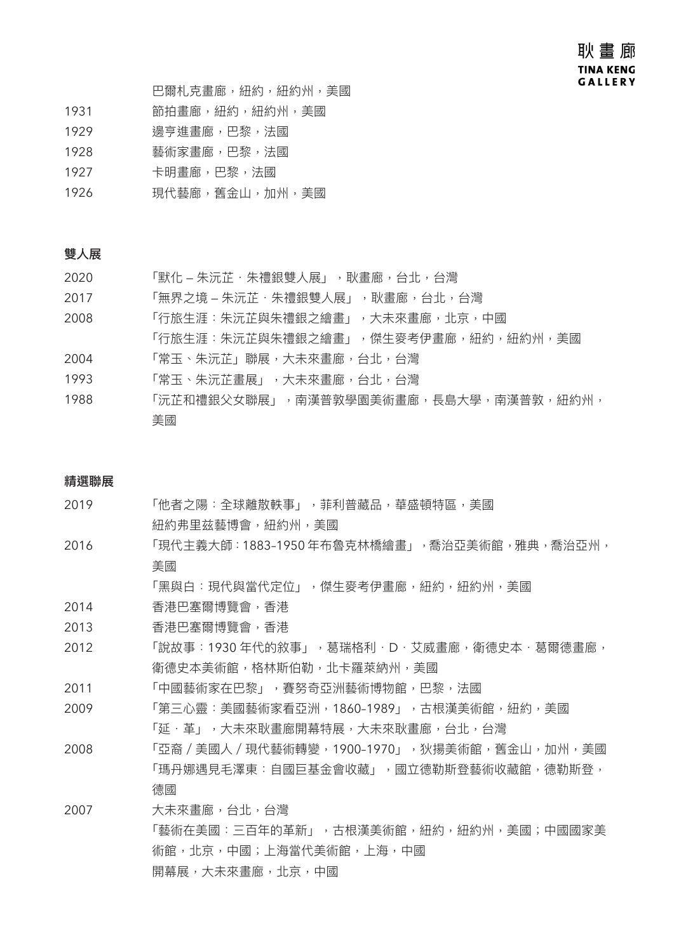巴爾札克畫廊,紐約,紐約州,美國

- 1931 節拍書廊,紐約,紐約州,美國
- 1929 邊亨進畫廊,巴黎,法國
- 1928 藝術家畫廊,巴黎,法國
- 1927 卡明畫廊,巴黎,法國
- 1926 現代藝廊,舊金山,加州,美國

#### 雙人展

- 2020 **F默化 朱沅芷·朱禮銀雙人展」,耿畫廊,台北,台灣**
- 2017 **F無界之境 朱沅芷·朱禮銀雙人展」,耿畫廊,台北,台灣**
- 2008 「行旅生涯:朱沅芷與朱禮銀之繪畫」,大未來畫廊,北京,中國
- 「行旅生涯:朱沅芷與朱禮銀之繪畫」,傑生麥考伊畫廊,紐約,紐約州,美國
- 2004 「常玉、朱沅芷」聯展,大未來畫廊,台北,台灣
- 1993 「常玉、朱沅芷畫展」,大未來畫廊,台北,台灣
- 1988 「沅芷和禮銀父女聯展」,南漢普敦學園美術畫廊,長島大學,南漢普敦,紐約州, 美國

#### 精選聯展

- 2019 「他者之陽:全球離散軼事」,菲利普藏品,華盛頓特區,美國 紐約弗里兹藝博會,紐約州,美國
- 2016 「現代主義大師:1883–1950 年布魯克林橋繪畫」,喬治亞美術館,雅典,喬治亞州, 美國

「黑與白:現代與當代定位」,傑生麥考伊畫廊,紐約,紐約州,美國

- 2014 香港巴塞爾博覽會,香港
- 2013 香港巴塞爾博覽會,香港
- 2012 **T說故事: 1930 年代的敘事」, 葛瑞格利·D·艾威畫廊, 衛德史本·葛爾德畫廊**, 衛德史本美術館,格林斯伯勒,北卡羅萊納州,美國
- 2011 「中國藝術家在巴黎」,賽努奇亞洲藝術博物館,巴黎,法國
- 2009 「第三心靈:美國藝術家看亞洲,1860–1989」,古根漢美術館,紐約,美國 「延.革」,大未來耿畫廊開幕特展,大未來耿畫廊,台北,台灣
- 2008 「亞裔/美國人/現代藝術轉變,1900–1970」,狄揚美術館,舊金山,加州,美國 「瑪丹娜遇見毛澤東:自國巨基金會收藏」,國立德勒斯登藝術收藏館,德勒斯登, 德國
- 2007 大未來畫廊,台北,台灣 「藝術在美國:三百年的革新」,古根漢美術館,紐約,紐約州,美國;中國國家美 術館,北京,中國;上海當代美術館,上海,中國 開幕展,大未來畫廊,北京,中國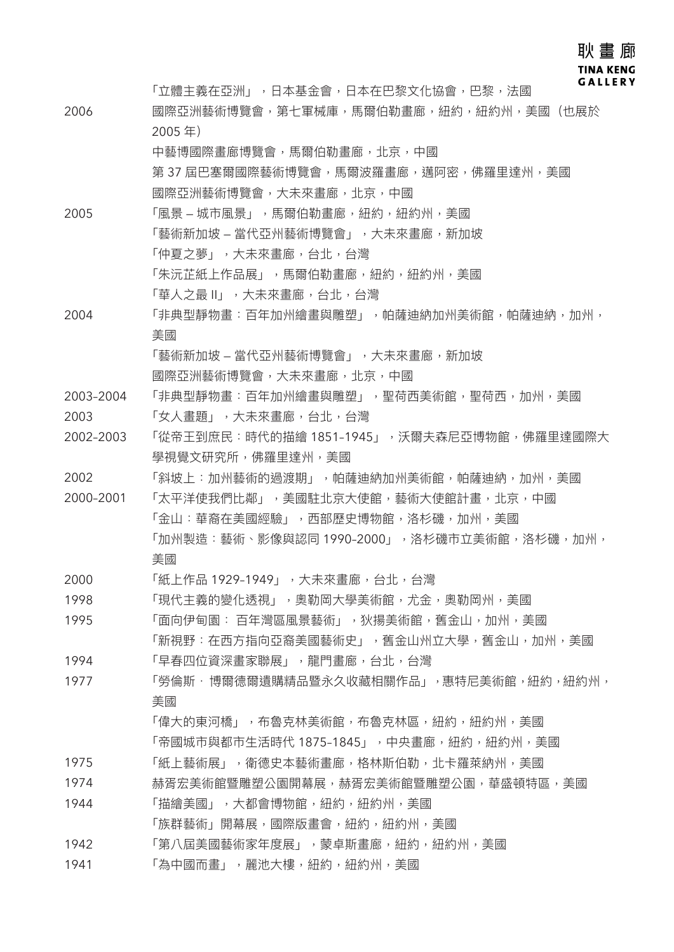### 耿畫廊 **TINA KENG GALLERY**

「立體主義在亞洲」,日本基金會,日本在巴黎文化協會,巴黎,法國 2006 國際亞洲藝術博覽會,第七軍械庫,馬爾伯勒畫廊,紐約,紐約州,美國(也展於 2005 年) 中藝博國際畫廊博覽會,馬爾伯勒畫廊,北京,中國 第 37 屆巴塞爾國際藝術博覽會,馬爾波羅畫廊,邁阿密,佛羅里達州,美國 國際亞洲藝術博覽會,大未來畫廊,北京,中國 2005 「風景 – 城市風景 」,馬爾伯勒畫廊,紐約,紐約州,美國 「藝術新加坡 — 當代亞州藝術博覽會」,大未來畫廊,新加坡 「仲夏之夢」,大未來畫廊,台北,台灣 「朱沅芷紙上作品展」,馬爾伯勒畫廊,紐約,紐約州,美國 「華人之最 II」,大未來畫廊,台北,台灣 2004 「非典型靜物畫:百年加州繪畫與雕塑」,帕薩迪納加州美術館,帕薩迪納,加州, 美國 「藝術新加坡 — 當代亞州藝術博覽會」,大未來畫廊,新加坡 國際亞洲藝術博覽會,大未來畫廊,北京,中國 2003–2004 「非典型靜物畫:百年加州繪畫與雕塑」,聖荷西美術館,聖荷西,加州,美國 2003 「女人畫題」,大未來畫廊,台北,台灣 2002–2003 「從帝王到庶民:時代的描繪 1851–1945」,沃爾夫森尼亞博物館,佛羅里達國際大 學視覺文研究所,佛羅里達州,美國 2002 「斜坡上:加州藝術的過渡期」,帕薩迪納加州美術館,帕薩迪納,加州,美國 2000–2001 「太平洋使我們比鄰」,美國駐北京大使館,藝術大使館計畫,北京,中國 「金山:華裔在美國經驗」,西部歷史博物館,洛杉磯,加州,美國 「加州製造:藝術、影像與認同 1990-2000」,洛杉磯市立美術館,洛杉磯,加州, 美國 2000 「紙上作品 1929–1949」,大未來畫廊,台北,台灣 1998 「現代主義的變化透視」,奧勒岡大學美術館,尤金,奧勒岡州,美國 1995 「面向伊甸園:百年灣區風景藝術」,狄揚美術館,舊金山,加州,美國 「新視野:在西方指向亞裔美國藝術史」,舊金山州立大學,舊金山,加州,美國 1994 「早春四位資深畫家聯展」,龍門畫廊,台北,台灣 1977 「勞倫斯·博爾德爾遺購精品暨永久收藏相關作品」,惠特尼美術館,紐約,紐約州, 美國 「偉大的東河橋」,布魯克林館,布魯克林區,紐約,紐約州,美國 「帝國城市與都市生活時代 1875-1845」,中央畫廊,紐約,紐約州,美國 1975 「紙上藝術展」,衛德史本藝術畫廊,格林斯伯勒,北卡羅萊納州,美國 1974 赫胥宏美術館暨雕塑公園開幕展,赫胥宏美術館暨雕塑公園,華盛頓特區,美國 1944 「描繪美國」,大都會博物館,紐約,紐約州,美國 「族群藝術」開幕展,國際版畫會,紐約,紐約州,美國 1942 「第八屆美國藝術家年度展」,蒙卓斯畫廊,紐約,紐約州,美國 1941 「為中國而畫」, 麗池大樓, 紐約, 紐約州, 美國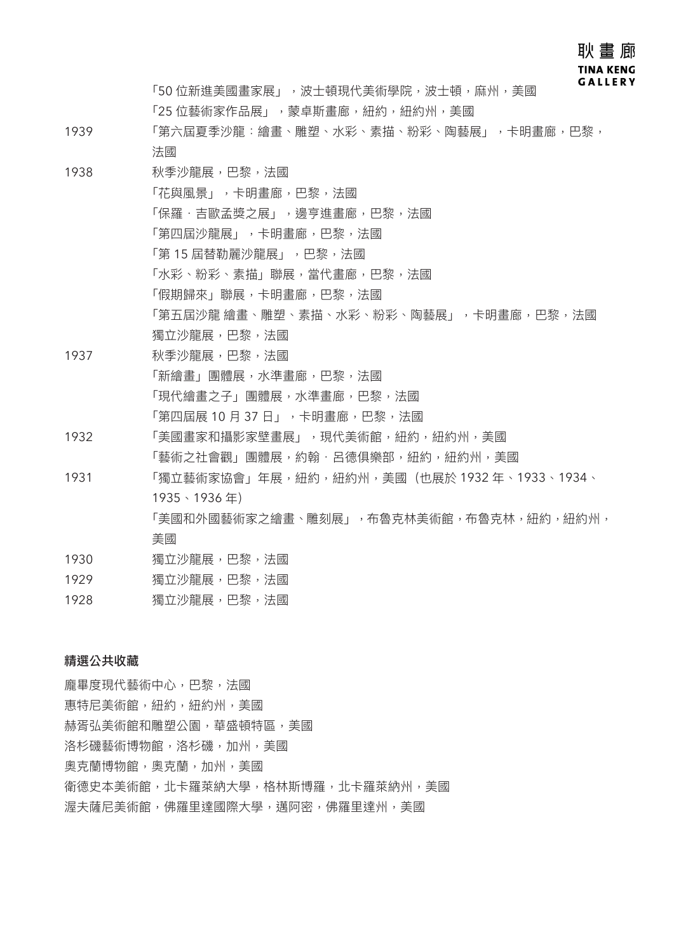耿 畫 廊 **TINA KENG GALLERY** 

「50 位新進美國畫家展」,波士頓現代美術學院,波士頓,麻州,美國 「25 位藝術家作品展」,蒙卓斯書廊, 紐約, 紐約州, 美國

- 1939 「第六屆夏季沙龍:繪畫、雕塑、水彩、素描、粉彩、陶藝展」,卡明畫廊,巴黎, 法國
- 1938 秋季沙龍展,巴黎,法國 「花與風景」,卡明畫廊,巴黎,法國 「保羅·吉歐孟獎之展」,邊亨進畫廊,巴黎,法國 「第四屆沙龍展」,卡明畫廊,巴黎,法國 「第 15 屆替勒麗沙龍展」,巴黎,法國 「水彩、粉彩、素描」聯展,當代畫廊,巴黎,法國 「假期歸來」聯展,卡明畫廊,巴黎,法國 「第五屆沙龍 繪畫、雕塑、素描、水彩、粉彩、陶藝展」,卡明畫廊,巴黎,法國 獨立沙龍展,巴黎,法國
- 1937 秋季沙龍展,巴黎,法國 「新繪畫」團體展,水準畫廊,巴黎,法國 「現代繪畫之子」團體展,水準畫廊,巴黎,法國 「第四屆展 10 月 37 日」, 卡明畫廊, 巴黎, 法國
- 1932 「美國畫家和攝影家壁畫展」,現代美術館,紐約,紐約州,美國 「藝術之社會觀」團體展,約翰‧呂德俱樂部,紐約,紐約州,美國
- 1931 「獨立藝術家協會」年展,紐約,紐約州,美國(也展於 1932 年、1933、1934、 1935、1936 年) 「美國和外國藝術家之繪畫、雕刻展」,布魯克林美術館,布魯克林,紐約,紐約州, 美國
- 1930 獨立沙龍展,巴黎,法國
- 1929 獨立沙龍展,巴黎,法國
- 1928 獨立沙龍展,巴黎,法國

### 精選公共收藏

龐畢度現代藝術中心,巴黎,法國 惠特尼美術館,紐約,紐約州,美國 赫胥弘美術館和雕塑公園,華盛頓特區,美國 洛杉磯藝術博物館,洛杉磯,加州,美國 奧克蘭博物館,奧克蘭,加州,美國 衛德史本美術館,北卡羅萊納大學,格林斯博羅,北卡羅萊納州,美國 渥夫薩尼美術館,佛羅里達國際大學,邁阿密,佛羅里達州,美國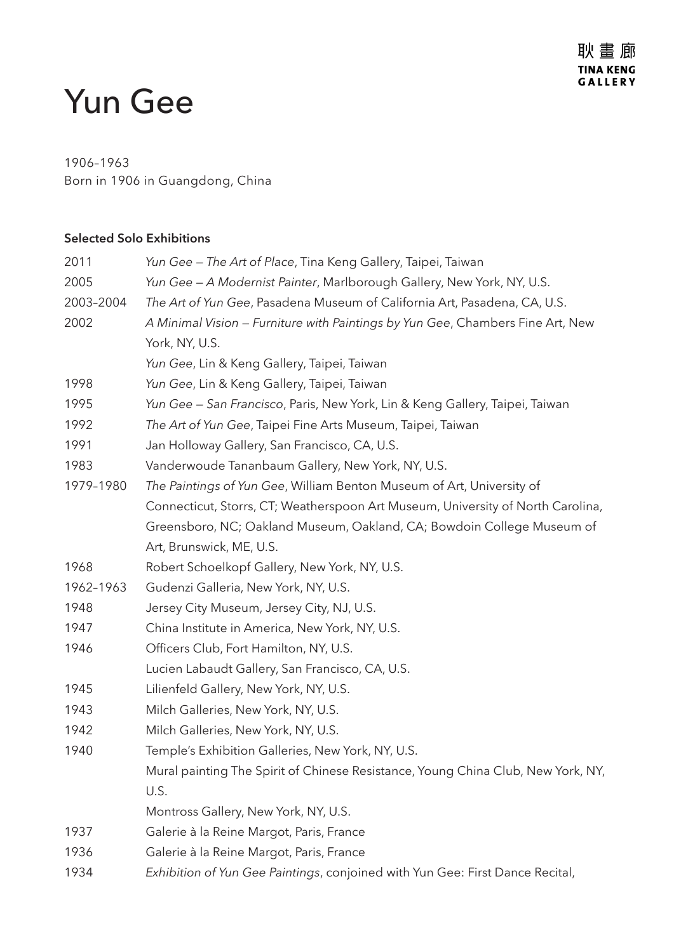# Yun Gee

# 1906–1963

Born in 1906 in Guangdong, China

## **Selected Solo Exhibitions**

| 2011      | Yun Gee - The Art of Place, Tina Keng Gallery, Taipei, Taiwan                    |
|-----------|----------------------------------------------------------------------------------|
| 2005      | Yun Gee - A Modernist Painter, Marlborough Gallery, New York, NY, U.S.           |
| 2003-2004 | The Art of Yun Gee, Pasadena Museum of California Art, Pasadena, CA, U.S.        |
| 2002      | A Minimal Vision – Furniture with Paintings by Yun Gee, Chambers Fine Art, New   |
|           | York, NY, U.S.                                                                   |
|           | Yun Gee, Lin & Keng Gallery, Taipei, Taiwan                                      |
| 1998      | Yun Gee, Lin & Keng Gallery, Taipei, Taiwan                                      |
| 1995      | Yun Gee - San Francisco, Paris, New York, Lin & Keng Gallery, Taipei, Taiwan     |
| 1992      | The Art of Yun Gee, Taipei Fine Arts Museum, Taipei, Taiwan                      |
| 1991      | Jan Holloway Gallery, San Francisco, CA, U.S.                                    |
| 1983      | Vanderwoude Tananbaum Gallery, New York, NY, U.S.                                |
| 1979-1980 | The Paintings of Yun Gee, William Benton Museum of Art, University of            |
|           | Connecticut, Storrs, CT; Weatherspoon Art Museum, University of North Carolina,  |
|           | Greensboro, NC; Oakland Museum, Oakland, CA; Bowdoin College Museum of           |
|           | Art, Brunswick, ME, U.S.                                                         |
| 1968      | Robert Schoelkopf Gallery, New York, NY, U.S.                                    |
| 1962-1963 | Gudenzi Galleria, New York, NY, U.S.                                             |
| 1948      | Jersey City Museum, Jersey City, NJ, U.S.                                        |
| 1947      | China Institute in America, New York, NY, U.S.                                   |
| 1946      | Officers Club, Fort Hamilton, NY, U.S.                                           |
|           | Lucien Labaudt Gallery, San Francisco, CA, U.S.                                  |
| 1945      | Lilienfeld Gallery, New York, NY, U.S.                                           |
| 1943      | Milch Galleries, New York, NY, U.S.                                              |
| 1942      | Milch Galleries, New York, NY, U.S.                                              |
| 1940      | Temple's Exhibition Galleries, New York, NY, U.S.                                |
|           | Mural painting The Spirit of Chinese Resistance, Young China Club, New York, NY, |
|           | U.S.                                                                             |
|           | Montross Gallery, New York, NY, U.S.                                             |
| 1937      | Galerie à la Reine Margot, Paris, France                                         |
| 1936      | Galerie à la Reine Margot, Paris, France                                         |
| 1934      | Exhibition of Yun Gee Paintings, conjoined with Yun Gee: First Dance Recital,    |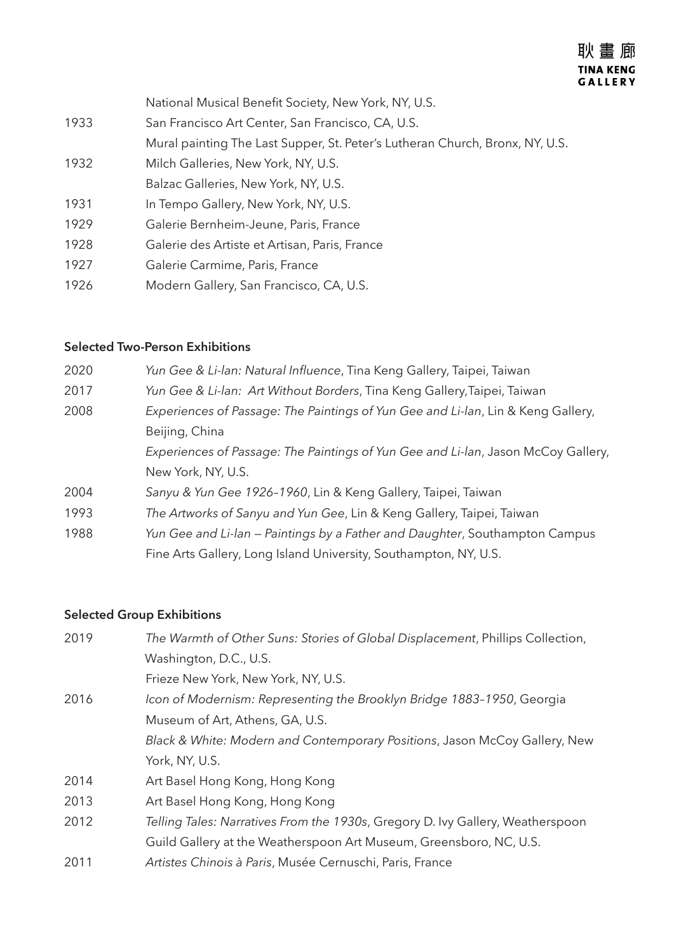National Musical Benefit Society, New York, NY, U.S. 1933 San Francisco Art Center, San Francisco, CA, U.S. Mural painting The Last Supper, St. Peter's Lutheran Church, Bronx, NY, U.S. 1932 Milch Galleries, New York, NY, U.S. Balzac Galleries, New York, NY, U.S. 1931 In Tempo Gallery, New York, NY, U.S. 1929 Galerie Bernheim-Jeune, Paris, France 1928 Galerie des Artiste et Artisan, Paris, France 1927 Galerie Carmime, Paris, France 1926 Modern Gallery, San Francisco, CA, U.S.

### **Selected Two-Person Exhibitions**

| 2020 | Yun Gee & Li-lan: Natural Influence, Tina Keng Gallery, Taipei, Taiwan            |
|------|-----------------------------------------------------------------------------------|
| 2017 | Yun Gee & Li-lan: Art Without Borders, Tina Keng Gallery, Taipei, Taiwan          |
| 2008 | Experiences of Passage: The Paintings of Yun Gee and Li-lan, Lin & Keng Gallery,  |
|      | Beijing, China                                                                    |
|      | Experiences of Passage: The Paintings of Yun Gee and Li-lan, Jason McCoy Gallery, |
|      | New York, NY, U.S.                                                                |
| 2004 | Sanyu & Yun Gee 1926-1960, Lin & Keng Gallery, Taipei, Taiwan                     |
| 1993 | The Artworks of Sanyu and Yun Gee, Lin & Keng Gallery, Taipei, Taiwan             |
| 1988 | Yun Gee and Li-lan – Paintings by a Father and Daughter, Southampton Campus       |
|      | Fine Arts Gallery, Long Island University, Southampton, NY, U.S.                  |

## **Selected Group Exhibitions**

| 2019 | The Warmth of Other Suns: Stories of Global Displacement, Phillips Collection, |
|------|--------------------------------------------------------------------------------|
|      | Washington, D.C., U.S.                                                         |
|      | Frieze New York, New York, NY, U.S.                                            |
| 2016 | Icon of Modernism: Representing the Brooklyn Bridge 1883-1950, Georgia         |
|      | Museum of Art, Athens, GA, U.S.                                                |
|      | Black & White: Modern and Contemporary Positions, Jason McCoy Gallery, New     |
|      | York, NY, U.S.                                                                 |
| 2014 | Art Basel Hong Kong, Hong Kong                                                 |
| 2013 | Art Basel Hong Kong, Hong Kong                                                 |
| 2012 | Telling Tales: Narratives From the 1930s, Gregory D. Ivy Gallery, Weatherspoon |
|      | Guild Gallery at the Weatherspoon Art Museum, Greensboro, NC, U.S.             |
| 2011 | Artistes Chinois à Paris, Musée Cernuschi, Paris, France                       |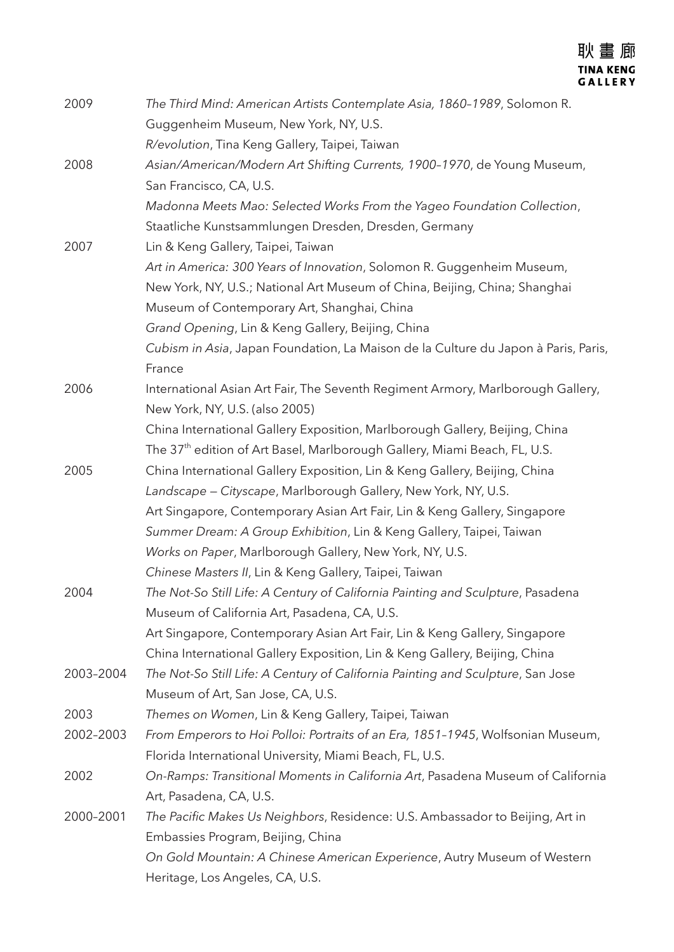| 2009      | The Third Mind: American Artists Contemplate Asia, 1860-1989, Solomon R.<br>Guggenheim Museum, New York, NY, U.S. |
|-----------|-------------------------------------------------------------------------------------------------------------------|
|           | R/evolution, Tina Keng Gallery, Taipei, Taiwan                                                                    |
| 2008      | Asian/American/Modern Art Shifting Currents, 1900-1970, de Young Museum,                                          |
|           | San Francisco, CA, U.S.                                                                                           |
|           | Madonna Meets Mao: Selected Works From the Yageo Foundation Collection,                                           |
|           | Staatliche Kunstsammlungen Dresden, Dresden, Germany                                                              |
| 2007      | Lin & Keng Gallery, Taipei, Taiwan                                                                                |
|           | Art in America: 300 Years of Innovation, Solomon R. Guggenheim Museum,                                            |
|           | New York, NY, U.S.; National Art Museum of China, Beijing, China; Shanghai                                        |
|           | Museum of Contemporary Art, Shanghai, China                                                                       |
|           | Grand Opening, Lin & Keng Gallery, Beijing, China                                                                 |
|           | Cubism in Asia, Japan Foundation, La Maison de la Culture du Japon à Paris, Paris,                                |
|           | France                                                                                                            |
| 2006      | International Asian Art Fair, The Seventh Regiment Armory, Marlborough Gallery,                                   |
|           | New York, NY, U.S. (also 2005)                                                                                    |
|           | China International Gallery Exposition, Marlborough Gallery, Beijing, China                                       |
|           | The 37 <sup>th</sup> edition of Art Basel, Marlborough Gallery, Miami Beach, FL, U.S.                             |
| 2005      | China International Gallery Exposition, Lin & Keng Gallery, Beijing, China                                        |
|           | Landscape – Cityscape, Marlborough Gallery, New York, NY, U.S.                                                    |
|           | Art Singapore, Contemporary Asian Art Fair, Lin & Keng Gallery, Singapore                                         |
|           | Summer Dream: A Group Exhibition, Lin & Keng Gallery, Taipei, Taiwan                                              |
|           | Works on Paper, Marlborough Gallery, New York, NY, U.S.                                                           |
|           | Chinese Masters II, Lin & Keng Gallery, Taipei, Taiwan                                                            |
| 2004      | The Not-So Still Life: A Century of California Painting and Sculpture, Pasadena                                   |
|           | Museum of California Art, Pasadena, CA, U.S.                                                                      |
|           | Art Singapore, Contemporary Asian Art Fair, Lin & Keng Gallery, Singapore                                         |
|           | China International Gallery Exposition, Lin & Keng Gallery, Beijing, China                                        |
| 2003-2004 | The Not-So Still Life: A Century of California Painting and Sculpture, San Jose                                   |
|           | Museum of Art, San Jose, CA, U.S.                                                                                 |
| 2003      | Themes on Women, Lin & Keng Gallery, Taipei, Taiwan                                                               |
| 2002-2003 | From Emperors to Hoi Polloi: Portraits of an Era, 1851-1945, Wolfsonian Museum,                                   |
|           | Florida International University, Miami Beach, FL, U.S.                                                           |
| 2002      | On-Ramps: Transitional Moments in California Art, Pasadena Museum of California                                   |
|           | Art, Pasadena, CA, U.S.                                                                                           |
| 2000-2001 | The Pacific Makes Us Neighbors, Residence: U.S. Ambassador to Beijing, Art in                                     |
|           | Embassies Program, Beijing, China                                                                                 |
|           | On Gold Mountain: A Chinese American Experience, Autry Museum of Western                                          |
|           | Heritage, Los Angeles, CA, U.S.                                                                                   |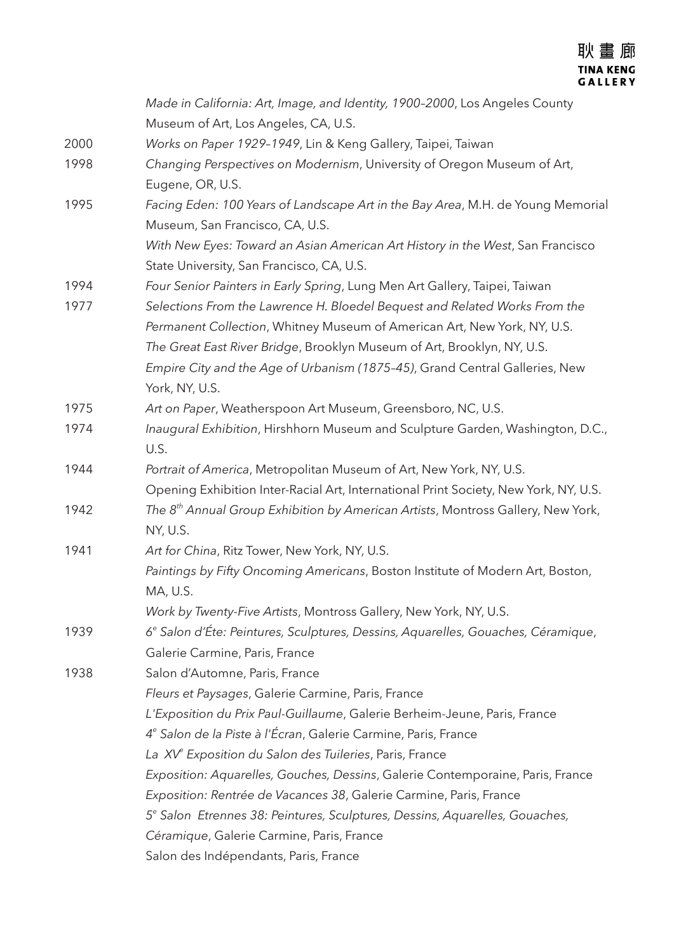|      | Made in California: Art, Image, and Identity, 1900-2000, Los Angeles County                  |
|------|----------------------------------------------------------------------------------------------|
|      | Museum of Art, Los Angeles, CA, U.S.                                                         |
| 2000 | Works on Paper 1929-1949, Lin & Keng Gallery, Taipei, Taiwan                                 |
| 1998 | Changing Perspectives on Modernism, University of Oregon Museum of Art,                      |
|      | Eugene, OR, U.S.                                                                             |
| 1995 | Facing Eden: 100 Years of Landscape Art in the Bay Area, M.H. de Young Memorial              |
|      | Museum, San Francisco, CA, U.S.                                                              |
|      | With New Eyes: Toward an Asian American Art History in the West, San Francisco               |
|      | State University, San Francisco, CA, U.S.                                                    |
| 1994 | Four Senior Painters in Early Spring, Lung Men Art Gallery, Taipei, Taiwan                   |
| 1977 | Selections From the Lawrence H. Bloedel Bequest and Related Works From the                   |
|      | Permanent Collection, Whitney Museum of American Art, New York, NY, U.S.                     |
|      | The Great East River Bridge, Brooklyn Museum of Art, Brooklyn, NY, U.S.                      |
|      | Empire City and the Age of Urbanism (1875-45), Grand Central Galleries, New                  |
|      | York, NY, U.S.                                                                               |
| 1975 | Art on Paper, Weatherspoon Art Museum, Greensboro, NC, U.S.                                  |
| 1974 | Inaugural Exhibition, Hirshhorn Museum and Sculpture Garden, Washington, D.C.,               |
|      | U.S.                                                                                         |
| 1944 | Portrait of America, Metropolitan Museum of Art, New York, NY, U.S.                          |
|      | Opening Exhibition Inter-Racial Art, International Print Society, New York, NY, U.S.         |
| 1942 | The $8th$ Annual Group Exhibition by American Artists, Montross Gallery, New York,           |
|      | NY, U.S.                                                                                     |
| 1941 | Art for China, Ritz Tower, New York, NY, U.S.                                                |
|      | Paintings by Fifty Oncoming Americans, Boston Institute of Modern Art, Boston,               |
|      | MA, U.S.                                                                                     |
|      | Work by Twenty-Five Artists, Montross Gallery, New York, NY, U.S.                            |
| 1939 | 6 <sup>e</sup> Salon d'Éte: Peintures, Sculptures, Dessins, Aquarelles, Gouaches, Céramique, |
|      | Galerie Carmine, Paris, France                                                               |
| 1938 | Salon d'Automne, Paris, France                                                               |
|      | Fleurs et Paysages, Galerie Carmine, Paris, France                                           |
|      | L'Exposition du Prix Paul-Guillaume, Galerie Berheim-Jeune, Paris, France                    |
|      | 4 <sup>e</sup> Salon de la Piste à l'Écran, Galerie Carmine, Paris, France                   |
|      | La XV <sup>e</sup> Exposition du Salon des Tuileries, Paris, France                          |
|      | Exposition: Aquarelles, Gouches, Dessins, Galerie Contemporaine, Paris, France               |
|      | Exposition: Rentrée de Vacances 38, Galerie Carmine, Paris, France                           |
|      | 5 <sup>e</sup> Salon Etrennes 38: Peintures, Sculptures, Dessins, Aquarelles, Gouaches,      |
|      | Céramique, Galerie Carmine, Paris, France                                                    |
|      | Salon des Indépendants, Paris, France                                                        |